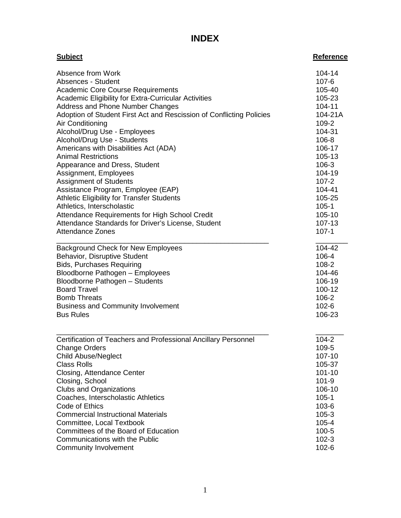## **INDEX**

| <b>Subject</b>                                                       | <b>Reference</b> |
|----------------------------------------------------------------------|------------------|
| Absence from Work                                                    | 104-14           |
| Absences - Student                                                   | $107 - 6$        |
| <b>Academic Core Course Requirements</b>                             | 105-40           |
| Academic Eligibility for Extra-Curricular Activities                 | 105-23           |
| Address and Phone Number Changes                                     | 104-11           |
| Adoption of Student First Act and Rescission of Conflicting Policies | 104-21A          |
| Air Conditioning                                                     | 109-2            |
| Alcohol/Drug Use - Employees                                         | 104-31           |
| Alcohol/Drug Use - Students                                          | 106-8            |
| Americans with Disabilities Act (ADA)                                | 106-17           |
| <b>Animal Restrictions</b>                                           | 105-13           |
| Appearance and Dress, Student                                        | 106-3            |
| Assignment, Employees                                                | 104-19           |
| <b>Assignment of Students</b>                                        | $107 - 2$        |
| Assistance Program, Employee (EAP)                                   | 104-41           |
| Athletic Eligibility for Transfer Students                           | 105-25           |
| Athletics, Interscholastic                                           | $105 - 1$        |
| Attendance Requirements for High School Credit                       | 105-10           |
| Attendance Standards for Driver's License, Student                   | 107-13           |
| <b>Attendance Zones</b>                                              | $107 - 1$        |
| <b>Background Check for New Employees</b>                            | 104-42           |
| Behavior, Disruptive Student                                         | 106-4            |
| <b>Bids, Purchases Requiring</b>                                     | 108-2            |
| Bloodborne Pathogen - Employees                                      | 104-46           |
| Bloodborne Pathogen - Students                                       | 106-19           |
| <b>Board Travel</b>                                                  | 100-12           |
| <b>Bomb Threats</b>                                                  | 106-2            |
| <b>Business and Community Involvement</b>                            | $102 - 6$        |
| <b>Bus Rules</b>                                                     | 106-23           |
| Certification of Teachers and Professional Ancillary Personnel       | $104 - 2$        |
| <b>Change Orders</b>                                                 | 109-5            |
| <b>Child Abuse/Neglect</b>                                           | 107-10           |
| <b>Class Rolls</b>                                                   | 105-37           |
| Closing, Attendance Center                                           | 101-10           |
| Closing, School                                                      | $101 - 9$        |
| <b>Clubs and Organizations</b>                                       | 106-10           |
| Coaches, Interscholastic Athletics                                   | $105 - 1$        |
| Code of Ethics                                                       | 103-6            |
| <b>Commercial Instructional Materials</b>                            | $105 - 3$        |
| Committee, Local Textbook                                            | $105 - 4$        |
| Committees of the Board of Education                                 | $100 - 5$        |
| Communications with the Public                                       | $102 - 3$        |
| <b>Community Involvement</b>                                         | $102 - 6$        |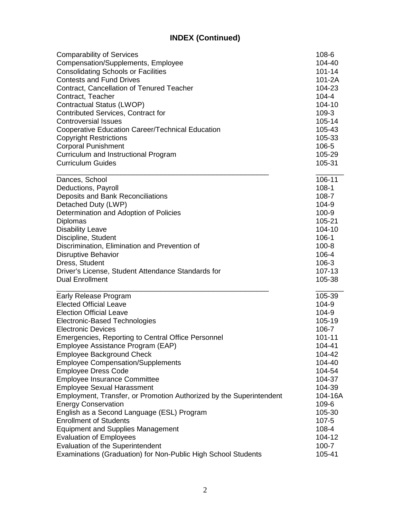| <b>Comparability of Services</b>                                         | 108-6            |
|--------------------------------------------------------------------------|------------------|
| Compensation/Supplements, Employee                                       | 104-40           |
| <b>Consolidating Schools or Facilities</b>                               | 101-14           |
| <b>Contests and Fund Drives</b>                                          | $101 - 2A$       |
| Contract, Cancellation of Tenured Teacher                                | 104-23           |
| Contract, Teacher                                                        | $104 - 4$        |
| Contractual Status (LWOP)                                                | 104-10           |
| <b>Contributed Services, Contract for</b>                                | 109-3            |
| <b>Controversial Issues</b>                                              | 105-14           |
| Cooperative Education Career/Technical Education                         | 105-43           |
| <b>Copyright Restrictions</b>                                            | 105-33           |
| <b>Corporal Punishment</b>                                               | 106-5            |
| Curriculum and Instructional Program                                     | 105-29           |
| <b>Curriculum Guides</b>                                                 | 105-31           |
| Dances, School                                                           | 106-11           |
| Deductions, Payroll                                                      | $108 - 1$        |
| Deposits and Bank Reconciliations                                        | 108-7            |
| Detached Duty (LWP)                                                      | 104-9            |
| Determination and Adoption of Policies                                   | 100-9            |
| <b>Diplomas</b>                                                          | 105-21           |
| <b>Disability Leave</b>                                                  | 104-10           |
| Discipline, Student                                                      | $106 - 1$        |
| Discrimination, Elimination and Prevention of                            | $100 - 8$        |
| <b>Disruptive Behavior</b>                                               | 106-4            |
| Dress, Student                                                           | 106-3            |
| Driver's License, Student Attendance Standards for                       | 107-13           |
| <b>Dual Enrollment</b>                                                   | 105-38           |
| Early Release Program                                                    | 105-39           |
| <b>Elected Official Leave</b>                                            | 104-9            |
| <b>Election Official Leave</b>                                           | 104-9            |
| Electronic-Based Technologies                                            | 105-19           |
| <b>Electronic Devices</b>                                                | 106-7            |
| Emergencies, Reporting to Central Office Personnel                       | 101-11           |
| Employee Assistance Program (EAP)                                        | 104-41           |
| <b>Employee Background Check</b>                                         | 104-42           |
| <b>Employee Compensation/Supplements</b>                                 | 104-40           |
| <b>Employee Dress Code</b>                                               | 104-54           |
| <b>Employee Insurance Committee</b>                                      | 104-37<br>104-39 |
| <b>Employee Sexual Harassment</b>                                        | 104-16A          |
| Employment, Transfer, or Promotion Authorized by the Superintendent      | 109-6            |
| <b>Energy Conservation</b><br>English as a Second Language (ESL) Program | 105-30           |
| <b>Enrollment of Students</b>                                            | $107 - 5$        |
| <b>Equipment and Supplies Management</b>                                 | 108-4            |
| <b>Evaluation of Employees</b>                                           | 104-12           |
| Evaluation of the Superintendent                                         | $100 - 7$        |
| Examinations (Graduation) for Non-Public High School Students            | 105-41           |
|                                                                          |                  |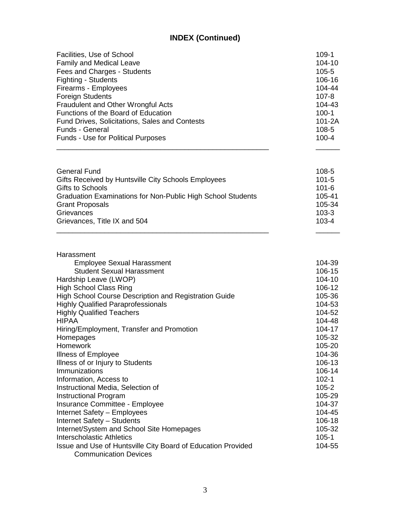| Facilities, Use of School                             | $109-1$    |
|-------------------------------------------------------|------------|
| <b>Family and Medical Leave</b>                       | $104 - 10$ |
| Fees and Charges - Students                           | $105 - 5$  |
| <b>Fighting - Students</b>                            | 106-16     |
| Firearms - Employees                                  | 104-44     |
| <b>Foreign Students</b>                               | $107 - 8$  |
| Fraudulent and Other Wrongful Acts                    | 104-43     |
| Functions of the Board of Education                   | $100 - 1$  |
| <b>Fund Drives, Solicitations, Sales and Contests</b> | $101 - 2A$ |
| <b>Funds - General</b>                                | $108 - 5$  |
| <b>Funds - Use for Political Purposes</b>             | $100 - 4$  |
|                                                       |            |

| General Fund                                                       | 108-5     |
|--------------------------------------------------------------------|-----------|
| Gifts Received by Huntsville City Schools Employees                | $101 - 5$ |
| Gifts to Schools                                                   | $101 - 6$ |
| <b>Graduation Examinations for Non-Public High School Students</b> | 105-41    |
| <b>Grant Proposals</b>                                             | 105-34    |
| Grievances                                                         | $103 - 3$ |
| Grievances, Title IX and 504                                       | $103 - 4$ |
|                                                                    |           |

| Harassment                                                                                   |            |
|----------------------------------------------------------------------------------------------|------------|
| <b>Employee Sexual Harassment</b>                                                            | 104-39     |
| <b>Student Sexual Harassment</b>                                                             | 106-15     |
| Hardship Leave (LWOP)                                                                        | $104 - 10$ |
| <b>High School Class Ring</b>                                                                | 106-12     |
| High School Course Description and Registration Guide                                        | 105-36     |
| <b>Highly Qualified Paraprofessionals</b>                                                    | 104-53     |
| <b>Highly Qualified Teachers</b>                                                             | 104-52     |
| <b>HIPAA</b>                                                                                 | 104-48     |
| Hiring/Employment, Transfer and Promotion                                                    | 104-17     |
| Homepages                                                                                    | 105-32     |
| Homework                                                                                     | 105-20     |
| <b>Illness of Employee</b>                                                                   | 104-36     |
| Illness of or Injury to Students                                                             | 106-13     |
| Immunizations                                                                                | 106-14     |
| Information, Access to                                                                       | $102 - 1$  |
| Instructional Media, Selection of                                                            | 105-2      |
| <b>Instructional Program</b>                                                                 | 105-29     |
| Insurance Committee - Employee                                                               | 104-37     |
| Internet Safety - Employees                                                                  | 104-45     |
| Internet Safety - Students                                                                   | 106-18     |
| Internet/System and School Site Homepages                                                    | 105-32     |
| Interscholastic Athletics                                                                    | $105 - 1$  |
| Issue and Use of Huntsville City Board of Education Provided<br><b>Communication Devices</b> | 104-55     |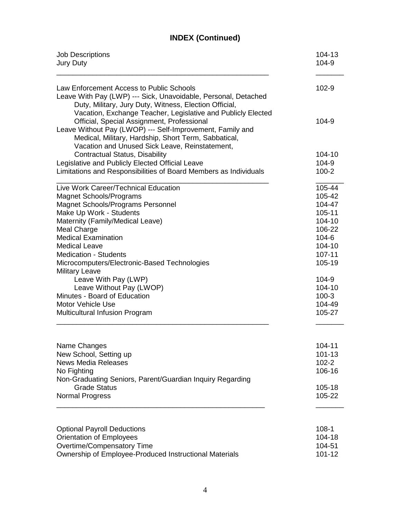| <b>Job Descriptions</b>                                                                                                                                                                                                                                                                                                                                                                        | 104-13                                                                                                       |
|------------------------------------------------------------------------------------------------------------------------------------------------------------------------------------------------------------------------------------------------------------------------------------------------------------------------------------------------------------------------------------------------|--------------------------------------------------------------------------------------------------------------|
| <b>Jury Duty</b>                                                                                                                                                                                                                                                                                                                                                                               | 104-9                                                                                                        |
| Law Enforcement Access to Public Schools<br>Leave With Pay (LWP) --- Sick, Unavoidable, Personal, Detached<br>Duty, Military, Jury Duty, Witness, Election Official,<br>Vacation, Exchange Teacher, Legislative and Publicly Elected                                                                                                                                                           | 102-9                                                                                                        |
| Official, Special Assignment, Professional<br>Leave Without Pay (LWOP) --- Self-Improvement, Family and<br>Medical, Military, Hardship, Short Term, Sabbatical,<br>Vacation and Unused Sick Leave, Reinstatement,                                                                                                                                                                              | 104-9                                                                                                        |
| <b>Contractual Status, Disability</b>                                                                                                                                                                                                                                                                                                                                                          | 104-10                                                                                                       |
| Legislative and Publicly Elected Official Leave                                                                                                                                                                                                                                                                                                                                                | 104-9                                                                                                        |
| Limitations and Responsibilities of Board Members as Individuals                                                                                                                                                                                                                                                                                                                               | $100 - 2$                                                                                                    |
|                                                                                                                                                                                                                                                                                                                                                                                                |                                                                                                              |
| Live Work Career/Technical Education<br><b>Magnet Schools/Programs</b><br><b>Magnet Schools/Programs Personnel</b><br>Make Up Work - Students<br>Maternity (Family/Medical Leave)<br><b>Meal Charge</b><br><b>Medical Examination</b><br><b>Medical Leave</b><br><b>Medication - Students</b><br>Microcomputers/Electronic-Based Technologies<br><b>Military Leave</b><br>Leave With Pay (LWP) | 105-44<br>105-42<br>104-47<br>105-11<br>104-10<br>106-22<br>$104 - 6$<br>104-10<br>107-11<br>105-19<br>104-9 |
| Leave Without Pay (LWOP)                                                                                                                                                                                                                                                                                                                                                                       | 104-10                                                                                                       |
| Minutes - Board of Education                                                                                                                                                                                                                                                                                                                                                                   | $100-3$                                                                                                      |
| Motor Vehicle Use                                                                                                                                                                                                                                                                                                                                                                              | 104-49                                                                                                       |
| Multicultural Infusion Program                                                                                                                                                                                                                                                                                                                                                                 | 105-27                                                                                                       |
| Name Changes                                                                                                                                                                                                                                                                                                                                                                                   | 104-11                                                                                                       |
| New School, Setting up                                                                                                                                                                                                                                                                                                                                                                         | 101-13                                                                                                       |
| <b>News Media Releases</b>                                                                                                                                                                                                                                                                                                                                                                     | $102 - 2$                                                                                                    |
| No Fighting                                                                                                                                                                                                                                                                                                                                                                                    | 106-16                                                                                                       |
| Non-Graduating Seniors, Parent/Guardian Inquiry Regarding<br><b>Grade Status</b><br><b>Normal Progress</b>                                                                                                                                                                                                                                                                                     | 105-18<br>105-22                                                                                             |
| <b>Optional Payroll Deductions</b>                                                                                                                                                                                                                                                                                                                                                             | $108-1$                                                                                                      |
| <b>Orientation of Employees</b>                                                                                                                                                                                                                                                                                                                                                                | 104-18                                                                                                       |
| Overtime/Compensatory Time                                                                                                                                                                                                                                                                                                                                                                     | 104-51                                                                                                       |
| Ownership of Employee-Produced Instructional Materials                                                                                                                                                                                                                                                                                                                                         | 101-12                                                                                                       |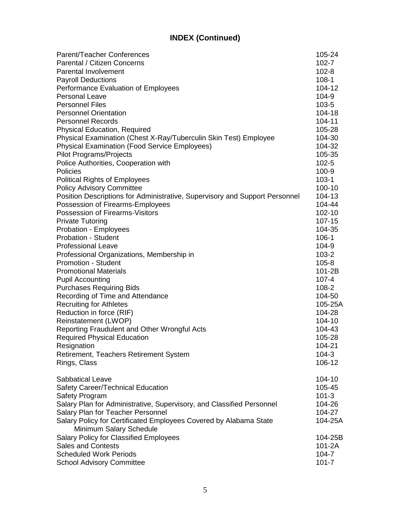| Parent/Teacher Conferences                                                  | 105-24     |
|-----------------------------------------------------------------------------|------------|
| Parental / Citizen Concerns                                                 | $102 - 7$  |
| <b>Parental Involvement</b>                                                 | $102 - 8$  |
| <b>Payroll Deductions</b>                                                   | $108-1$    |
| Performance Evaluation of Employees                                         | 104-12     |
| <b>Personal Leave</b>                                                       | 104-9      |
| <b>Personnel Files</b>                                                      | $103 - 5$  |
| <b>Personnel Orientation</b>                                                | $104 - 18$ |
| <b>Personnel Records</b>                                                    | 104-11     |
| <b>Physical Education, Required</b>                                         | 105-28     |
| Physical Examination (Chest X-Ray/Tuberculin Skin Test) Employee            | 104-30     |
| <b>Physical Examination (Food Service Employees)</b>                        | 104-32     |
| <b>Pilot Programs/Projects</b>                                              | 105-35     |
| Police Authorities, Cooperation with                                        | $102 - 5$  |
| Policies                                                                    | $100 - 9$  |
| <b>Political Rights of Employees</b>                                        | $103 - 1$  |
| <b>Policy Advisory Committee</b>                                            | 100-10     |
| Position Descriptions for Administrative, Supervisory and Support Personnel | 104-13     |
| Possession of Firearms-Employees                                            | 104-44     |
| Possession of Firearms-Visitors                                             | 102-10     |
| <b>Private Tutoring</b>                                                     | 107-15     |
| Probation - Employees                                                       | 104-35     |
| <b>Probation - Student</b>                                                  | $106 - 1$  |
| <b>Professional Leave</b>                                                   | 104-9      |
| Professional Organizations, Membership in                                   | $103 - 2$  |
| <b>Promotion - Student</b>                                                  | $105 - 8$  |
| <b>Promotional Materials</b>                                                | $101-2B$   |
| <b>Pupil Accounting</b>                                                     | $107 - 4$  |
| <b>Purchases Requiring Bids</b>                                             | $108 - 2$  |
| Recording of Time and Attendance                                            | 104-50     |
| <b>Recruiting for Athletes</b>                                              | 105-25A    |
| Reduction in force (RIF)                                                    | 104-28     |
| Reinstatement (LWOP)                                                        | 104-10     |
| Reporting Fraudulent and Other Wrongful Acts                                | 104-43     |
| <b>Required Physical Education</b>                                          | 105-28     |
| Resignation                                                                 | 104-21     |
| Retirement, Teachers Retirement System                                      | $104 - 3$  |
| Rings, Class                                                                | 106-12     |
| <b>Sabbatical Leave</b>                                                     | 104-10     |
| Safety Career/Technical Education                                           | 105-45     |
| <b>Safety Program</b>                                                       | $101 - 3$  |
| Salary Plan for Administrative, Supervisory, and Classified Personnel       | 104-26     |
| Salary Plan for Teacher Personnel                                           | 104-27     |
| Salary Policy for Certificated Employees Covered by Alabama State           | 104-25A    |
| Minimum Salary Schedule                                                     |            |
| <b>Salary Policy for Classified Employees</b>                               | 104-25B    |
| <b>Sales and Contests</b>                                                   | 101-2A     |
| <b>Scheduled Work Periods</b>                                               | 104-7      |
| <b>School Advisory Committee</b>                                            | $101 - 7$  |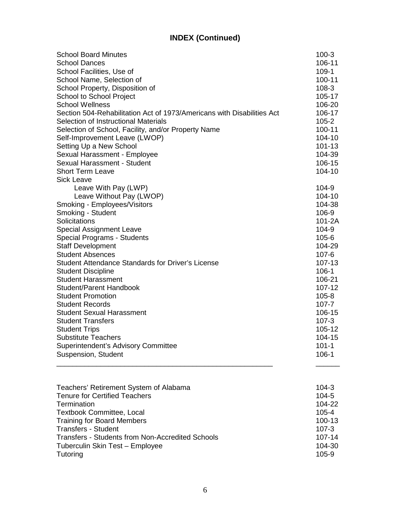| <b>School Board Minutes</b>                                            | $100-3$    |
|------------------------------------------------------------------------|------------|
| <b>School Dances</b>                                                   | 106-11     |
| School Facilities, Use of                                              | $109 - 1$  |
| School Name, Selection of                                              | 100-11     |
| School Property, Disposition of                                        | 108-3      |
| School to School Project                                               | 105-17     |
| <b>School Wellness</b>                                                 | 106-20     |
| Section 504-Rehabilitation Act of 1973/Americans with Disabilities Act | 106-17     |
| Selection of Instructional Materials                                   | $105 - 2$  |
| Selection of School, Facility, and/or Property Name                    | 100-11     |
| Self-Improvement Leave (LWOP)                                          | $104 - 10$ |
| Setting Up a New School                                                | $101 - 13$ |
| Sexual Harassment - Employee                                           | 104-39     |
| Sexual Harassment - Student                                            | 106-15     |
| <b>Short Term Leave</b>                                                | 104-10     |
| <b>Sick Leave</b>                                                      |            |
| Leave With Pay (LWP)                                                   | 104-9      |
| Leave Without Pay (LWOP)                                               | 104-10     |
| Smoking - Employees/Visitors                                           | 104-38     |
| Smoking - Student                                                      | 106-9      |
| Solicitations                                                          | 101-2A     |
| <b>Special Assignment Leave</b>                                        | 104-9      |
| Special Programs - Students                                            | $105 - 6$  |
| <b>Staff Development</b>                                               | 104-29     |
| <b>Student Absences</b>                                                | 107-6      |
| Student Attendance Standards for Driver's License                      | 107-13     |
| <b>Student Discipline</b>                                              | $106 - 1$  |
| <b>Student Harassment</b>                                              | 106-21     |
| <b>Student/Parent Handbook</b>                                         | 107-12     |
| <b>Student Promotion</b>                                               | $105 - 8$  |
| <b>Student Records</b>                                                 | $107 - 7$  |
| <b>Student Sexual Harassment</b>                                       | 106-15     |
| <b>Student Transfers</b>                                               | $107 - 3$  |
| <b>Student Trips</b>                                                   | 105-12     |
| <b>Substitute Teachers</b>                                             | 104-15     |
| <b>Superintendent's Advisory Committee</b>                             | $101 - 1$  |
| Suspension, Student                                                    | $106 - 1$  |
|                                                                        |            |

| Teachers' Retirement System of Alabama                  | $104 - 3$  |
|---------------------------------------------------------|------------|
| <b>Tenure for Certified Teachers</b>                    | $104 - 5$  |
| Termination                                             | 104-22     |
| <b>Textbook Committee, Local</b>                        | $105 - 4$  |
| <b>Training for Board Members</b>                       | $100 - 13$ |
| <b>Transfers - Student</b>                              | $107 - 3$  |
| <b>Transfers - Students from Non-Accredited Schools</b> | $107 - 14$ |
| Tuberculin Skin Test - Employee                         | 104-30     |
| Tutoring                                                | $105-9$    |